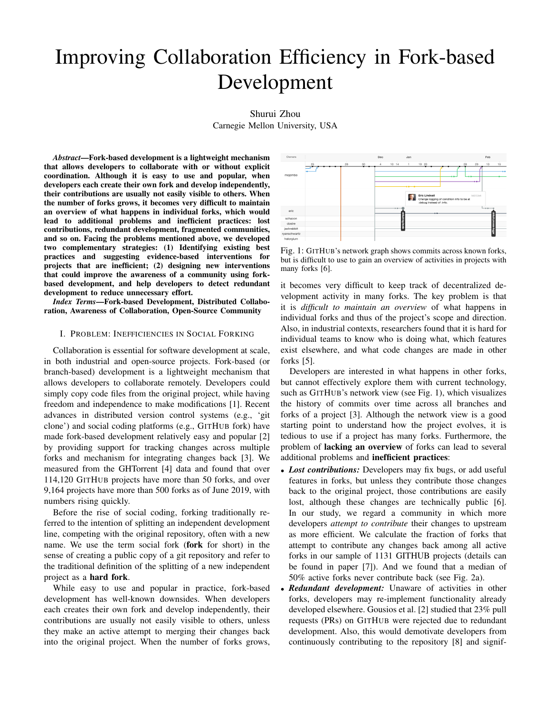# Improving Collaboration Efficiency in Fork-based Development

## Shurui Zhou Carnegie Mellon University, USA

*Abstract*—Fork-based development is a lightweight mechanism that allows developers to collaborate with or without explicit coordination. Although it is easy to use and popular, when developers each create their own fork and develop independently, their contributions are usually not easily visible to others. When the number of forks grows, it becomes very difficult to maintain an overview of what happens in individual forks, which would lead to additional problems and inefficient practices: lost contributions, redundant development, fragmented communities, and so on. Facing the problems mentioned above, we developed two complementary strategies: (1) Identifying existing best practices and suggesting evidence-based interventions for projects that are inefficient; (2) designing new interventions that could improve the awareness of a community using forkbased development, and help developers to detect redundant development to reduce unnecessary effort.

*Index Terms*—Fork-based Development, Distributed Collaboration, Awareness of Collaboration, Open-Source Community

#### I. PROBLEM: INEFFICIENCIES IN SOCIAL FORKING

Collaboration is essential for software development at scale, in both industrial and open-source projects. Fork-based (or branch-based) development is a lightweight mechanism that allows developers to collaborate remotely. Developers could simply copy code files from the original project, while having freedom and independence to make modifications [1]. Recent advances in distributed version control systems (e.g., 'git clone') and social coding platforms (e.g., GITHUB fork) have made fork-based development relatively easy and popular [2] by providing support for tracking changes across multiple forks and mechanism for integrating changes back [3]. We measured from the GHTorrent [4] data and found that over 114,120 GITHUB projects have more than 50 forks, and over 9,164 projects have more than 500 forks as of June 2019, with numbers rising quickly.

Before the rise of social coding, forking traditionally referred to the intention of splitting an independent development line, competing with the original repository, often with a new name. We use the term social fork (fork for short) in the sense of creating a public copy of a git repository and refer to the traditional definition of the splitting of a new independent project as a hard fork.

While easy to use and popular in practice, fork-based development has well-known downsides. When developers each creates their own fork and develop independently, their contributions are usually not easily visible to others, unless they make an active attempt to merging their changes back into the original project. When the number of forks grows,



Fig. 1: GITHUB's network graph shows commits across known forks, but is difficult to use to gain an overview of activities in projects with many forks [6].

it becomes very difficult to keep track of decentralized development activity in many forks. The key problem is that it is *difficult to maintain an overview* of what happens in individual forks and thus of the project's scope and direction. Also, in industrial contexts, researchers found that it is hard for individual teams to know who is doing what, which features exist elsewhere, and what code changes are made in other forks [5].

Developers are interested in what happens in other forks, but cannot effectively explore them with current technology, such as GITHUB's network view (see Fig. 1), which visualizes the history of commits over time across all branches and forks of a project [3]. Although the network view is a good starting point to understand how the project evolves, it is tedious to use if a project has many forks. Furthermore, the problem of lacking an overview of forks can lead to several additional problems and inefficient practices:

- *Lost contributions:* Developers may fix bugs, or add useful features in forks, but unless they contribute those changes back to the original project, those contributions are easily lost, although these changes are technically public [6]. In our study, we regard a community in which more developers *attempt to contribute* their changes to upstream as more efficient. We calculate the fraction of forks that attempt to contribute any changes back among all active forks in our sample of 1131 GITHUB projects (details can be found in paper [7]). And we found that a median of 50% active forks never contribute back (see Fig. 2a).
- *Redundant development:* Unaware of activities in other forks, developers may re-implement functionality already developed elsewhere. Gousios et al. [2] studied that 23% pull requests (PRs) on GITHUB were rejected due to redundant development. Also, this would demotivate developers from continuously contributing to the repository [8] and signif-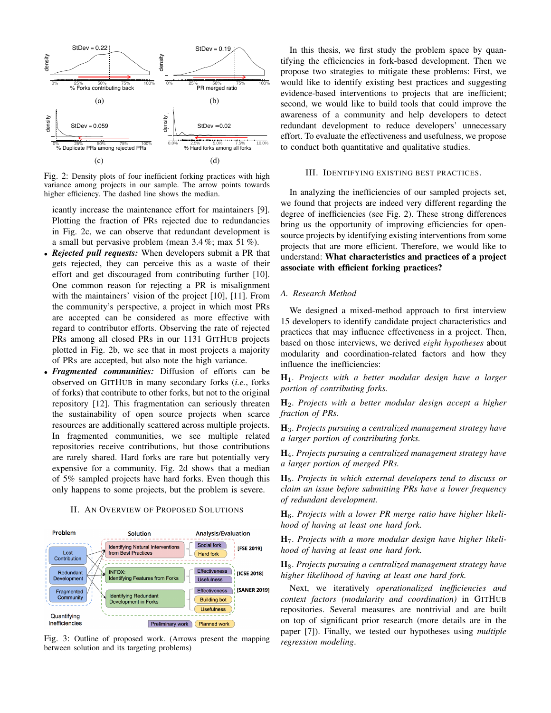

Fig. 2: Density plots of four inefficient forking practices with high variance among projects in our sample. The arrow points towards higher efficiency. The dashed line shows the median.

icantly increase the maintenance effort for maintainers [9]. Plotting the fraction of PRs rejected due to redundancies in Fig. 2c, we can observe that redundant development is a small but pervasive problem (mean 3.4 %; max 51 %).

- *Rejected pull requests:* When developers submit a PR that gets rejected, they can perceive this as a waste of their effort and get discouraged from contributing further [10]. One common reason for rejecting a PR is misalignment with the maintainers' vision of the project [10], [11]. From the community's perspective, a project in which most PRs are accepted can be considered as more effective with regard to contributor efforts. Observing the rate of rejected PRs among all closed PRs in our 1131 GITHUB projects plotted in Fig. 2b, we see that in most projects a majority of PRs are accepted, but also note the high variance.
- *Fragmented communities:* Diffusion of efforts can be observed on GITHUB in many secondary forks (*i.e.*, forks of forks) that contribute to other forks, but not to the original repository [12]. This fragmentation can seriously threaten the sustainability of open source projects when scarce resources are additionally scattered across multiple projects. In fragmented communities, we see multiple related repositories receive contributions, but those contributions are rarely shared. Hard forks are rare but potentially very expensive for a community. Fig. 2d shows that a median of 5% sampled projects have hard forks. Even though this only happens to some projects, but the problem is severe.

## II. AN OVERVIEW OF PROPOSED SOLUTIONS



Fig. 3: Outline of proposed work. (Arrows present the mapping between solution and its targeting problems)

In this thesis, we first study the problem space by quantifying the efficiencies in fork-based development. Then we propose two strategies to mitigate these problems: First, we would like to identify existing best practices and suggesting evidence-based interventions to projects that are inefficient; second, we would like to build tools that could improve the awareness of a community and help developers to detect redundant development to reduce developers' unnecessary effort. To evaluate the effectiveness and usefulness, we propose to conduct both quantitative and qualitative studies.

#### III. IDENTIFYING EXISTING BEST PRACTICES.

In analyzing the inefficiencies of our sampled projects set, we found that projects are indeed very different regarding the degree of inefficiencies (see Fig. 2). These strong differences bring us the opportunity of improving efficiencies for opensource projects by identifying existing interventions from some projects that are more efficient. Therefore, we would like to understand: What characteristics and practices of a project associate with efficient forking practices?

## *A. Research Method*

We designed a mixed-method approach to first interview 15 developers to identify candidate project characteristics and practices that may influence effectiveness in a project. Then, based on those interviews, we derived *eight hypotheses* about modularity and coordination-related factors and how they influence the inefficiencies:

H1. *Projects with a better modular design have a larger portion of contributing forks.*

H2. *Projects with a better modular design accept a higher fraction of PRs.*

H3. *Projects pursuing a centralized management strategy have a larger portion of contributing forks.*

H4. *Projects pursuing a centralized management strategy have a larger portion of merged PRs.*

H5. *Projects in which external developers tend to discuss or claim an issue before submitting PRs have a lower frequency of redundant development.*

H6. *Projects with a lower PR merge ratio have higher likelihood of having at least one hard fork.*

H7. *Projects with a more modular design have higher likelihood of having at least one hard fork.*

H8. *Projects pursuing a centralized management strategy have higher likelihood of having at least one hard fork.*

Next, we iteratively *operationalized inefficiencies and context factors (modularity and coordination)* in GITHUB repositories. Several measures are nontrivial and are built on top of significant prior research (more details are in the paper [7]). Finally, we tested our hypotheses using *multiple regression modeling*.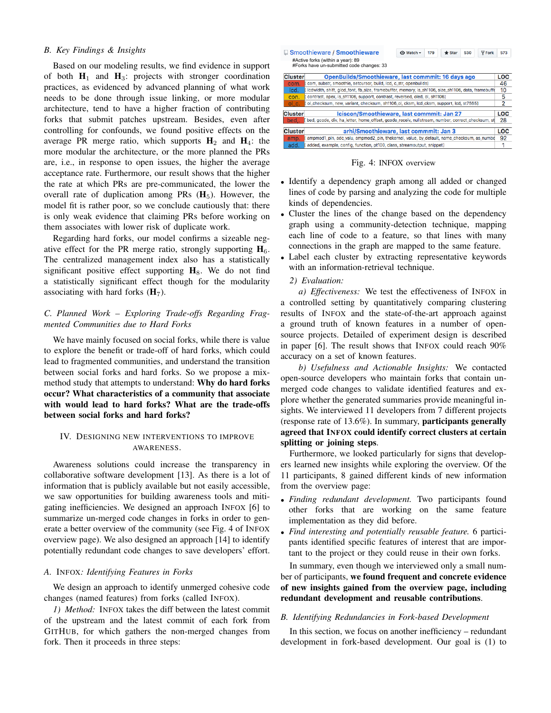## *B. Key Findings & Insights*

Based on our modeling results, we find evidence in support of both  $H_1$  and  $H_3$ : projects with stronger coordination practices, as evidenced by advanced planning of what work needs to be done through issue linking, or more modular architecture, tend to have a higher fraction of contributing forks that submit patches upstream. Besides, even after controlling for confounds, we found positive effects on the average PR merge ratio, which supports  $H_2$  and  $H_4$ : the more modular the architecture, or the more planned the PRs are, i.e., in response to open issues, the higher the average acceptance rate. Furthermore, our result shows that the higher the rate at which PRs are pre-communicated, the lower the overall rate of duplication among PRs  $(H_5)$ . However, the model fit is rather poor, so we conclude cautiously that: there is only weak evidence that claiming PRs before working on them associates with lower risk of duplicate work.

Regarding hard forks, our model confirms a sizeable negative effect for the PR merge ratio, strongly supporting  $H_6$ . The centralized management index also has a statistically significant positive effect supporting  $H_8$ . We do not find a statistically significant effect though for the modularity associating with hard forks  $(H<sub>7</sub>)$ .

## *C. Planned Work – Exploring Trade-offs Regarding Fragmented Communities due to Hard Forks*

We have mainly focused on social forks, while there is value to explore the benefit or trade-off of hard forks, which could lead to fragmented communities, and understand the transition between social forks and hard forks. So we propose a mixmethod study that attempts to understand: Why do hard forks occur? What characteristics of a community that associate with would lead to hard forks? What are the trade-offs between social forks and hard forks?

## IV. DESIGNING NEW INTERVENTIONS TO IMPROVE AWARENESS.

Awareness solutions could increase the transparency in collaborative software development [13]. As there is a lot of information that is publicly available but not easily accessible, we saw opportunities for building awareness tools and mitigating inefficiencies. We designed an approach INFOX [6] to summarize un-merged code changes in forks in order to generate a better overview of the community (see Fig. 4 of INFOX overview page). We also designed an approach [14] to identify potentially redundant code changes to save developers' effort.

#### *A.* INFOX*: Identifying Features in Forks*

We design an approach to identify unmerged cohesive code changes (named features) from forks (called INFOX).

*1) Method:* INFOX takes the diff between the latest commit of the upstream and the latest commit of each fork from GITHUB, for which gathers the non-merged changes from fork. Then it proceeds in three steps:

|                | <b>■ Smoothieware / Smoothieware</b><br><b>V</b> Fork<br><b>⊙</b> Watch ~<br>179<br>$\bigstar$ Star<br>530<br>#Active forks (within a year): 89 | 573        |
|----------------|-------------------------------------------------------------------------------------------------------------------------------------------------|------------|
| <b>Cluster</b> | #Forks have un-submitted code changes: 33<br><b>OpenBuilds/Smoothieware, last commmit: 16 days ago</b>                                          | LOC        |
| com.           | com, substr, smoothie, setcursor, build, lcd, c_str, openbuilds]                                                                                | 46         |
| lcd.           | lcdwidth, shift, glcd_font, fb_size, framebuffer, memory, is_sh1106, size_sh1106, data, framebuffe                                              | 10         |
| con.           | contrast, apex, is_sh1106, support, contrast, reversed, oled, ol, sh1106]                                                                       | 5          |
| ol c.          | ol_checksum, new, variant, checksum, sh1106_ol, cksm, lcd_cksm, support, lcd, st7565]                                                           | 2          |
| <b>Cluster</b> | Iciscon/Smoothieware, last commmit: Jan 27                                                                                                      | LOC        |
| bed            | bed, gcode, div, ha_letter, home_offset, gcode_receiv, nullstream, number, correct_checksum, st                                                 | 28         |
| <b>Cluster</b> | arhi/Smoothieware, last commmit: Jan 3                                                                                                          | <b>LOC</b> |
| amp.           | ampmod1_pin, adc_valu, ampmod2_pin, thekernel, value, by_default, name_checksum, as_numbe                                                       | 92         |
| add.           | added, example, config, function, pt100, class, streamoutput, snippet]                                                                          | 1          |

Fig. 4: INFOX overview

- Identify a dependency graph among all added or changed lines of code by parsing and analyzing the code for multiple kinds of dependencies.
- Cluster the lines of the change based on the dependency graph using a community-detection technique, mapping each line of code to a feature, so that lines with many connections in the graph are mapped to the same feature.
- Label each cluster by extracting representative keywords with an information-retrieval technique.

## *2) Evaluation:*

*a) Effectiveness:* We test the effectiveness of INFOX in a controlled setting by quantitatively comparing clustering results of INFOX and the state-of-the-art approach against a ground truth of known features in a number of opensource projects. Detailed of experiment design is described in paper [6]. The result shows that INFOX could reach 90% accuracy on a set of known features.

*b) Usefulness and Actionable Insights:* We contacted open-source developers who maintain forks that contain unmerged code changes to validate identified features and explore whether the generated summaries provide meaningful insights. We interviewed 11 developers from 7 different projects (response rate of 13.6%). In summary, participants generally agreed that INFOX could identify correct clusters at certain splitting or joining steps.

Furthermore, we looked particularly for signs that developers learned new insights while exploring the overview. Of the 11 participants, 8 gained different kinds of new information from the overview page:

- *Finding redundant development.* Two participants found other forks that are working on the same feature implementation as they did before.
- *Find interesting and potentially reusable feature.* 6 participants identified specific features of interest that are important to the project or they could reuse in their own forks.

In summary, even though we interviewed only a small number of participants, we found frequent and concrete evidence of new insights gained from the overview page, including redundant development and reusable contributions.

### *B. Identifying Redundancies in Fork-based Development*

In this section, we focus on another inefficiency – redundant development in fork-based development. Our goal is (1) to